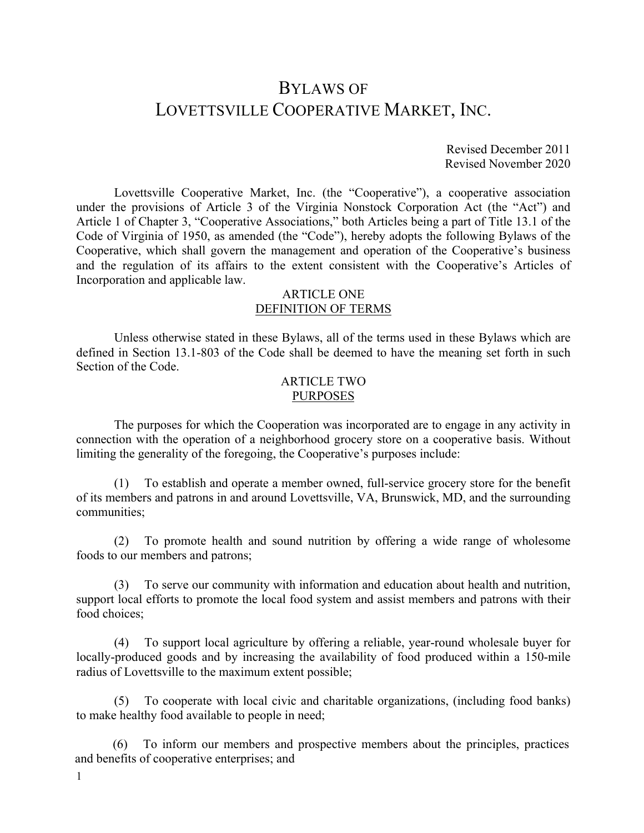# BYLAWS OF LOVETTSVILLE COOPERATIVE MARKET, INC.

Revised December 2011 Revised November 2020

Lovettsville Cooperative Market, Inc. (the "Cooperative"), a cooperative association under the provisions of Article 3 of the Virginia Nonstock Corporation Act (the "Act") and Article 1 of Chapter 3, "Cooperative Associations," both Articles being a part of Title 13.1 of the Code of Virginia of 1950, as amended (the "Code"), hereby adopts the following Bylaws of the Cooperative, which shall govern the management and operation of the Cooperative's business and the regulation of its affairs to the extent consistent with the Cooperative's Articles of Incorporation and applicable law.

# ARTICLE ONE DEFINITION OF TERMS

Unless otherwise stated in these Bylaws, all of the terms used in these Bylaws which are defined in Section 13.1-803 of the Code shall be deemed to have the meaning set forth in such Section of the Code.

# ARTICLE TWO PURPOSES

The purposes for which the Cooperation was incorporated are to engage in any activity in connection with the operation of a neighborhood grocery store on a cooperative basis. Without limiting the generality of the foregoing, the Cooperative's purposes include:

(1) To establish and operate a member owned, full-service grocery store for the benefit of its members and patrons in and around Lovettsville, VA, Brunswick, MD, and the surrounding communities;

(2) To promote health and sound nutrition by offering a wide range of wholesome foods to our members and patrons;

(3) To serve our community with information and education about health and nutrition, support local efforts to promote the local food system and assist members and patrons with their food choices;

(4) To support local agriculture by offering a reliable, year-round wholesale buyer for locally-produced goods and by increasing the availability of food produced within a 150-mile radius of Lovettsville to the maximum extent possible;

(5) To cooperate with local civic and charitable organizations, (including food banks) to make healthy food available to people in need;

(6) To inform our members and prospective members about the principles, practices and benefits of cooperative enterprises; and

1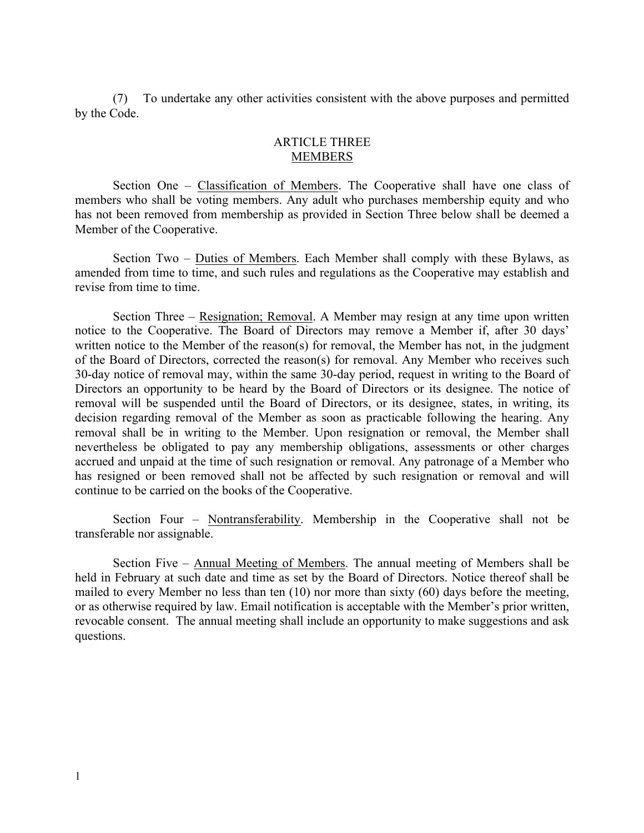(7) To undertake any other activities consistent with the above purposes and permitted by the Code.

# ARTICLE THREE MEMBERS

Section One – Classification of Members. The Cooperative shall have one class of members who shall be voting members. Any adult who purchases membership equity and who has not been removed from membership as provided in Section Three below shall be deemed a Member of the Cooperative.

Section Two – Duties of Members. Each Member shall comply with these Bylaws, as amended from time to time, and such rules and regulations as the Cooperative may establish and revise from time to time.

Section Three – Resignation; Removal. A Member may resign at any time upon written notice to the Cooperative. The Board of Directors may remove a Member if, after 30 days' written notice to the Member of the reason(s) for removal, the Member has not, in the judgment of the Board of Directors, corrected the reason(s) for removal. Any Member who receives such 30-day notice of removal may, within the same 30-day period, request in writing to the Board of Directors an opportunity to be heard by the Board of Directors or its designee. The notice of removal will be suspended until the Board of Directors, or its designee, states, in writing, its decision regarding removal of the Member as soon as practicable following the hearing. Any removal shall be in writing to the Member. Upon resignation or removal, the Member shall nevertheless be obligated to pay any membership obligations, assessments or other charges accrued and unpaid at the time of such resignation or removal. Any patronage of a Member who has resigned or been removed shall not be affected by such resignation or removal and will continue to be carried on the books of the Cooperative.

Section Four – Nontransferability. Membership in the Cooperative shall not be transferable nor assignable.

Section Five – Annual Meeting of Members. The annual meeting of Members shall be held in February at such date and time as set by the Board of Directors. Notice thereof shall be mailed to every Member no less than ten (10) nor more than sixty (60) days before the meeting, or as otherwise required by law. Email notification is acceptable with the Member's prior written, revocable consent. The annual meeting shall include an opportunity to make suggestions and ask questions.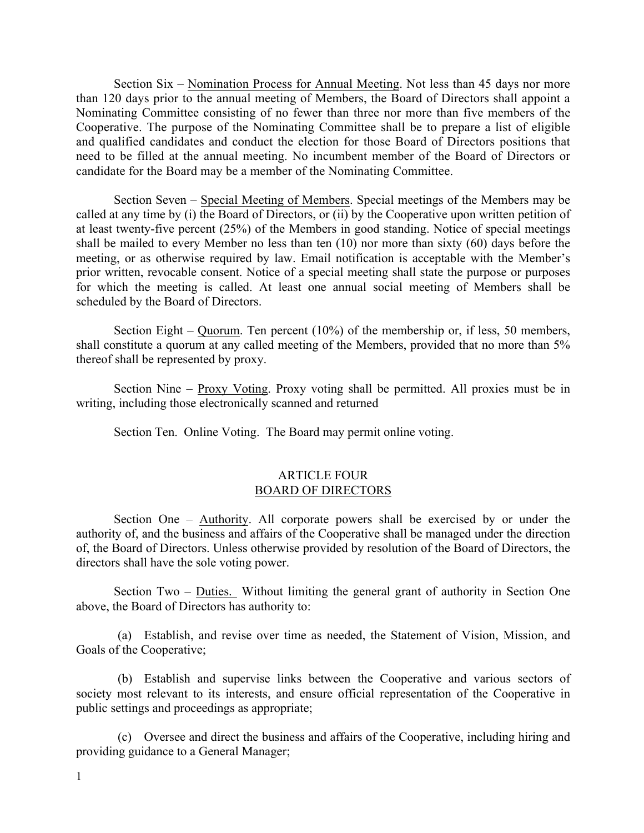Section Six – Nomination Process for Annual Meeting. Not less than 45 days nor more than 120 days prior to the annual meeting of Members, the Board of Directors shall appoint a Nominating Committee consisting of no fewer than three nor more than five members of the Cooperative. The purpose of the Nominating Committee shall be to prepare a list of eligible and qualified candidates and conduct the election for those Board of Directors positions that need to be filled at the annual meeting. No incumbent member of the Board of Directors or candidate for the Board may be a member of the Nominating Committee.

Section Seven – Special Meeting of Members. Special meetings of the Members may be called at any time by (i) the Board of Directors, or (ii) by the Cooperative upon written petition of at least twenty-five percent (25%) of the Members in good standing. Notice of special meetings shall be mailed to every Member no less than ten (10) nor more than sixty (60) days before the meeting, or as otherwise required by law. Email notification is acceptable with the Member's prior written, revocable consent. Notice of a special meeting shall state the purpose or purposes for which the meeting is called. At least one annual social meeting of Members shall be scheduled by the Board of Directors.

Section Eight – Quorum. Ten percent (10%) of the membership or, if less, 50 members, shall constitute a quorum at any called meeting of the Members, provided that no more than 5% thereof shall be represented by proxy.

Section Nine – Proxy Voting. Proxy voting shall be permitted. All proxies must be in writing, including those electronically scanned and returned

Section Ten. Online Voting. The Board may permit online voting.

### ARTICLE FOUR BOARD OF DIRECTORS

Section One – Authority. All corporate powers shall be exercised by or under the authority of, and the business and affairs of the Cooperative shall be managed under the direction of, the Board of Directors. Unless otherwise provided by resolution of the Board of Directors, the directors shall have the sole voting power.

Section Two – Duties. Without limiting the general grant of authority in Section One above, the Board of Directors has authority to:

(a) Establish, and revise over time as needed, the Statement of Vision, Mission, and Goals of the Cooperative;

(b) Establish and supervise links between the Cooperative and various sectors of society most relevant to its interests, and ensure official representation of the Cooperative in public settings and proceedings as appropriate;

(c) Oversee and direct the business and affairs of the Cooperative, including hiring and providing guidance to a General Manager;

1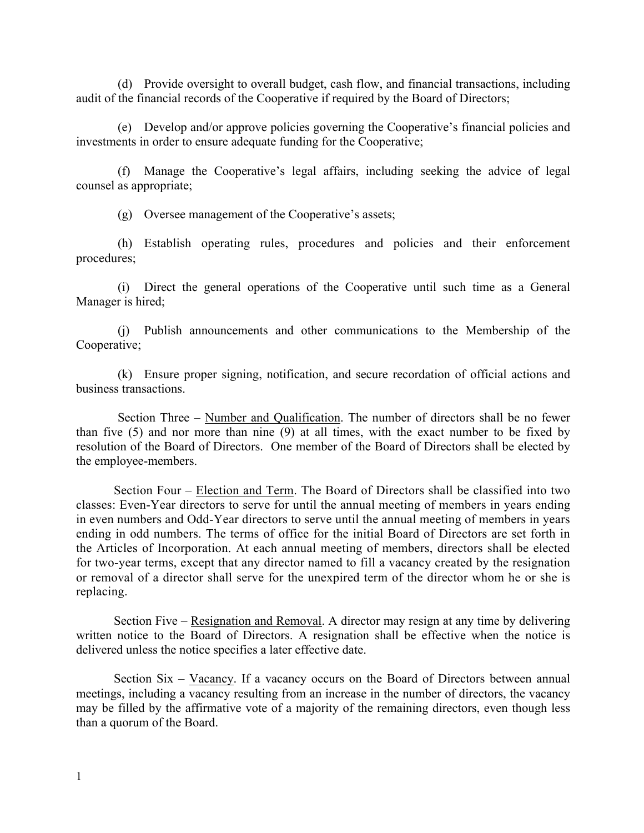(d) Provide oversight to overall budget, cash flow, and financial transactions, including audit of the financial records of the Cooperative if required by the Board of Directors;

(e) Develop and/or approve policies governing the Cooperative's financial policies and investments in order to ensure adequate funding for the Cooperative;

(f) Manage the Cooperative's legal affairs, including seeking the advice of legal counsel as appropriate;

(g) Oversee management of the Cooperative's assets;

(h) Establish operating rules, procedures and policies and their enforcement procedures;

(i) Direct the general operations of the Cooperative until such time as a General Manager is hired;

(j) Publish announcements and other communications to the Membership of the Cooperative;

(k) Ensure proper signing, notification, and secure recordation of official actions and business transactions.

Section Three – Number and Qualification. The number of directors shall be no fewer than five (5) and nor more than nine (9) at all times, with the exact number to be fixed by resolution of the Board of Directors. One member of the Board of Directors shall be elected by the employee-members.

Section Four – Election and Term. The Board of Directors shall be classified into two classes: Even-Year directors to serve for until the annual meeting of members in years ending in even numbers and Odd-Year directors to serve until the annual meeting of members in years ending in odd numbers. The terms of office for the initial Board of Directors are set forth in the Articles of Incorporation. At each annual meeting of members, directors shall be elected for two-year terms, except that any director named to fill a vacancy created by the resignation or removal of a director shall serve for the unexpired term of the director whom he or she is replacing.

Section Five – Resignation and Removal. A director may resign at any time by delivering written notice to the Board of Directors. A resignation shall be effective when the notice is delivered unless the notice specifies a later effective date.

Section Six – Vacancy. If a vacancy occurs on the Board of Directors between annual meetings, including a vacancy resulting from an increase in the number of directors, the vacancy may be filled by the affirmative vote of a majority of the remaining directors, even though less than a quorum of the Board.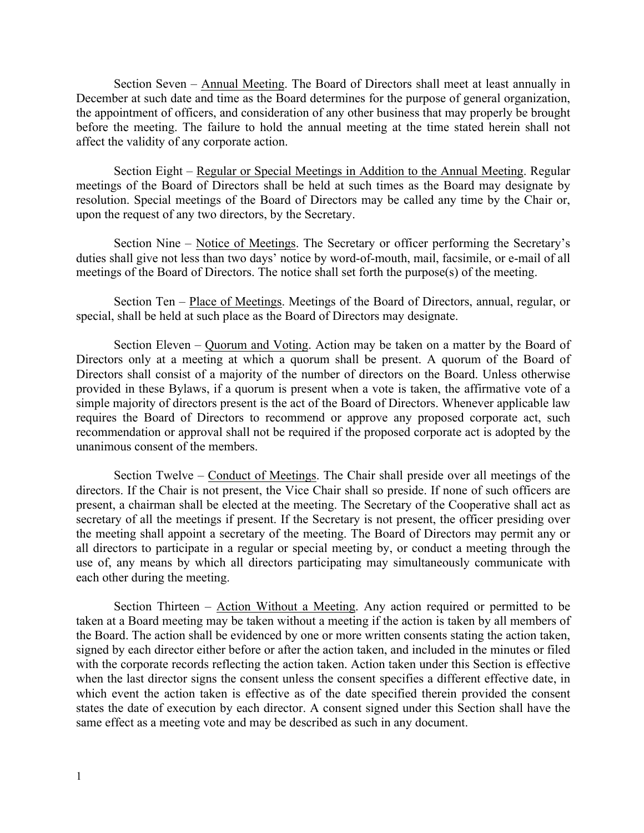Section Seven – Annual Meeting. The Board of Directors shall meet at least annually in December at such date and time as the Board determines for the purpose of general organization, the appointment of officers, and consideration of any other business that may properly be brought before the meeting. The failure to hold the annual meeting at the time stated herein shall not affect the validity of any corporate action.

Section Eight – Regular or Special Meetings in Addition to the Annual Meeting. Regular meetings of the Board of Directors shall be held at such times as the Board may designate by resolution. Special meetings of the Board of Directors may be called any time by the Chair or, upon the request of any two directors, by the Secretary.

Section Nine – Notice of Meetings. The Secretary or officer performing the Secretary's duties shall give not less than two days' notice by word-of-mouth, mail, facsimile, or e-mail of all meetings of the Board of Directors. The notice shall set forth the purpose(s) of the meeting.

Section Ten – Place of Meetings. Meetings of the Board of Directors, annual, regular, or special, shall be held at such place as the Board of Directors may designate.

Section Eleven – Quorum and Voting. Action may be taken on a matter by the Board of Directors only at a meeting at which a quorum shall be present. A quorum of the Board of Directors shall consist of a majority of the number of directors on the Board. Unless otherwise provided in these Bylaws, if a quorum is present when a vote is taken, the affirmative vote of a simple majority of directors present is the act of the Board of Directors. Whenever applicable law requires the Board of Directors to recommend or approve any proposed corporate act, such recommendation or approval shall not be required if the proposed corporate act is adopted by the unanimous consent of the members.

Section Twelve – Conduct of Meetings. The Chair shall preside over all meetings of the directors. If the Chair is not present, the Vice Chair shall so preside. If none of such officers are present, a chairman shall be elected at the meeting. The Secretary of the Cooperative shall act as secretary of all the meetings if present. If the Secretary is not present, the officer presiding over the meeting shall appoint a secretary of the meeting. The Board of Directors may permit any or all directors to participate in a regular or special meeting by, or conduct a meeting through the use of, any means by which all directors participating may simultaneously communicate with each other during the meeting.

Section Thirteen – Action Without a Meeting. Any action required or permitted to be taken at a Board meeting may be taken without a meeting if the action is taken by all members of the Board. The action shall be evidenced by one or more written consents stating the action taken, signed by each director either before or after the action taken, and included in the minutes or filed with the corporate records reflecting the action taken. Action taken under this Section is effective when the last director signs the consent unless the consent specifies a different effective date, in which event the action taken is effective as of the date specified therein provided the consent states the date of execution by each director. A consent signed under this Section shall have the same effect as a meeting vote and may be described as such in any document.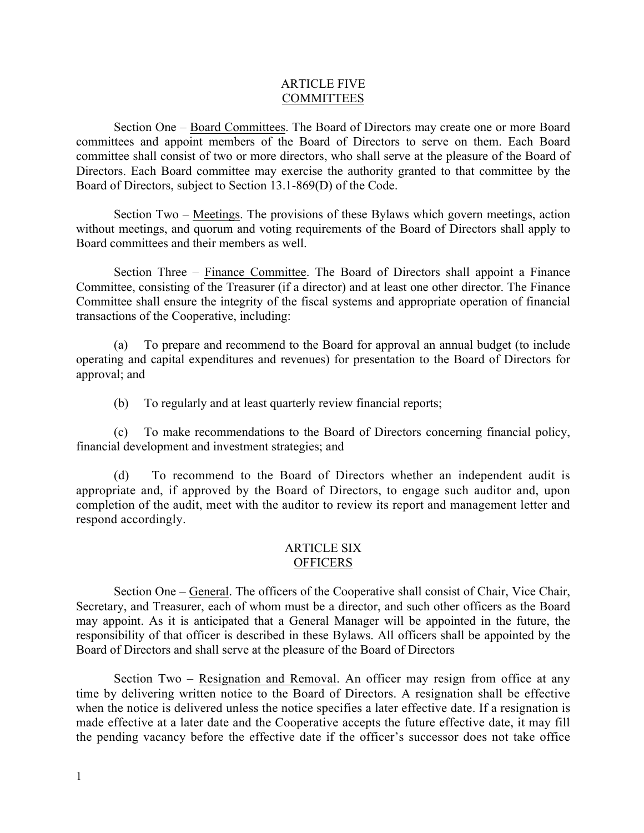# ARTICLE FIVE COMMITTEES

Section One – Board Committees. The Board of Directors may create one or more Board committees and appoint members of the Board of Directors to serve on them. Each Board committee shall consist of two or more directors, who shall serve at the pleasure of the Board of Directors. Each Board committee may exercise the authority granted to that committee by the Board of Directors, subject to Section 13.1-869(D) of the Code.

Section Two – Meetings. The provisions of these Bylaws which govern meetings, action without meetings, and quorum and voting requirements of the Board of Directors shall apply to Board committees and their members as well.

Section Three – Finance Committee. The Board of Directors shall appoint a Finance Committee, consisting of the Treasurer (if a director) and at least one other director. The Finance Committee shall ensure the integrity of the fiscal systems and appropriate operation of financial transactions of the Cooperative, including:

(a) To prepare and recommend to the Board for approval an annual budget (to include operating and capital expenditures and revenues) for presentation to the Board of Directors for approval; and

(b) To regularly and at least quarterly review financial reports;

(c) To make recommendations to the Board of Directors concerning financial policy, financial development and investment strategies; and

(d) To recommend to the Board of Directors whether an independent audit is appropriate and, if approved by the Board of Directors, to engage such auditor and, upon completion of the audit, meet with the auditor to review its report and management letter and respond accordingly.

## ARTICLE SIX **OFFICERS**

Section One – General. The officers of the Cooperative shall consist of Chair, Vice Chair, Secretary, and Treasurer, each of whom must be a director, and such other officers as the Board may appoint. As it is anticipated that a General Manager will be appointed in the future, the responsibility of that officer is described in these Bylaws. All officers shall be appointed by the Board of Directors and shall serve at the pleasure of the Board of Directors

Section Two – Resignation and Removal. An officer may resign from office at any time by delivering written notice to the Board of Directors. A resignation shall be effective when the notice is delivered unless the notice specifies a later effective date. If a resignation is made effective at a later date and the Cooperative accepts the future effective date, it may fill the pending vacancy before the effective date if the officer's successor does not take office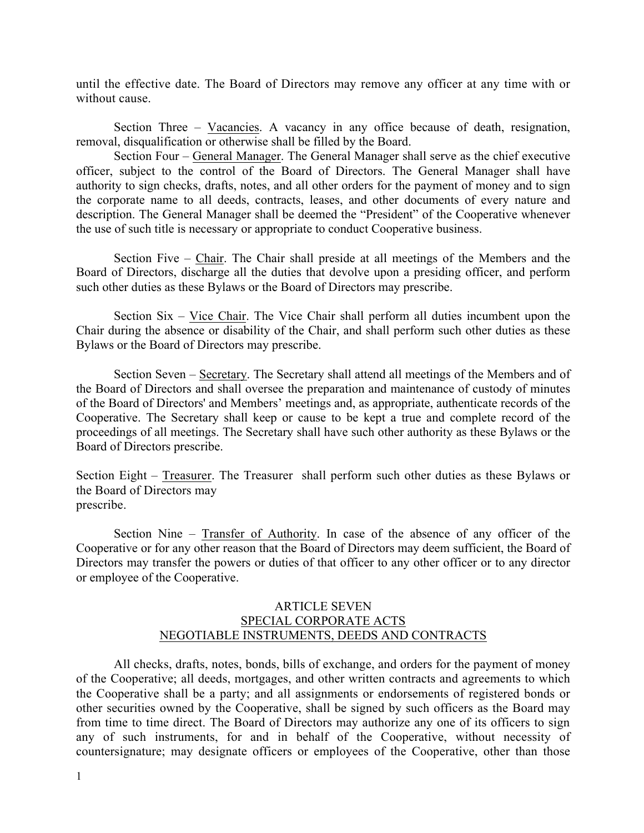until the effective date. The Board of Directors may remove any officer at any time with or without cause.

Section Three – Vacancies. A vacancy in any office because of death, resignation, removal, disqualification or otherwise shall be filled by the Board.

Section Four – General Manager. The General Manager shall serve as the chief executive officer, subject to the control of the Board of Directors. The General Manager shall have authority to sign checks, drafts, notes, and all other orders for the payment of money and to sign the corporate name to all deeds, contracts, leases, and other documents of every nature and description. The General Manager shall be deemed the "President" of the Cooperative whenever the use of such title is necessary or appropriate to conduct Cooperative business.

Section Five – Chair. The Chair shall preside at all meetings of the Members and the Board of Directors, discharge all the duties that devolve upon a presiding officer, and perform such other duties as these Bylaws or the Board of Directors may prescribe.

Section Six – Vice Chair. The Vice Chair shall perform all duties incumbent upon the Chair during the absence or disability of the Chair, and shall perform such other duties as these Bylaws or the Board of Directors may prescribe.

Section Seven – Secretary. The Secretary shall attend all meetings of the Members and of the Board of Directors and shall oversee the preparation and maintenance of custody of minutes of the Board of Directors' and Members' meetings and, as appropriate, authenticate records of the Cooperative. The Secretary shall keep or cause to be kept a true and complete record of the proceedings of all meetings. The Secretary shall have such other authority as these Bylaws or the Board of Directors prescribe.

Section Eight – Treasurer. The Treasurer shall perform such other duties as these Bylaws or the Board of Directors may prescribe.

Section Nine – Transfer of Authority. In case of the absence of any officer of the Cooperative or for any other reason that the Board of Directors may deem sufficient, the Board of Directors may transfer the powers or duties of that officer to any other officer or to any director or employee of the Cooperative.

# ARTICLE SEVEN SPECIAL CORPORATE ACTS NEGOTIABLE INSTRUMENTS, DEEDS AND CONTRACTS

All checks, drafts, notes, bonds, bills of exchange, and orders for the payment of money of the Cooperative; all deeds, mortgages, and other written contracts and agreements to which the Cooperative shall be a party; and all assignments or endorsements of registered bonds or other securities owned by the Cooperative, shall be signed by such officers as the Board may from time to time direct. The Board of Directors may authorize any one of its officers to sign any of such instruments, for and in behalf of the Cooperative, without necessity of countersignature; may designate officers or employees of the Cooperative, other than those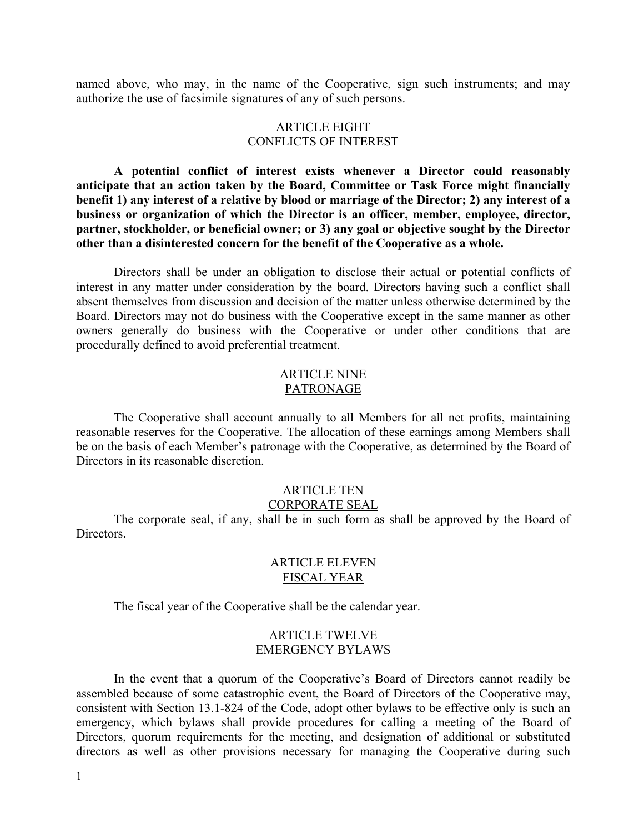named above, who may, in the name of the Cooperative, sign such instruments; and may authorize the use of facsimile signatures of any of such persons.

# ARTICLE EIGHT CONFLICTS OF INTEREST

**A potential conflict of interest exists whenever a Director could reasonably anticipate that an action taken by the Board, Committee or Task Force might financially benefit 1) any interest of a relative by blood or marriage of the Director; 2) any interest of a business or organization of which the Director is an officer, member, employee, director, partner, stockholder, or beneficial owner; or 3) any goal or objective sought by the Director other than a disinterested concern for the benefit of the Cooperative as a whole.**

Directors shall be under an obligation to disclose their actual or potential conflicts of interest in any matter under consideration by the board. Directors having such a conflict shall absent themselves from discussion and decision of the matter unless otherwise determined by the Board. Directors may not do business with the Cooperative except in the same manner as other owners generally do business with the Cooperative or under other conditions that are procedurally defined to avoid preferential treatment.

#### ARTICLE NINE PATRONAGE

The Cooperative shall account annually to all Members for all net profits, maintaining reasonable reserves for the Cooperative. The allocation of these earnings among Members shall be on the basis of each Member's patronage with the Cooperative, as determined by the Board of Directors in its reasonable discretion.

#### ARTICLE TEN CORPORATE SEAL

The corporate seal, if any, shall be in such form as shall be approved by the Board of Directors.

# ARTICLE ELEVEN FISCAL YEAR

The fiscal year of the Cooperative shall be the calendar year.

#### ARTICLE TWELVE EMERGENCY BYLAWS

In the event that a quorum of the Cooperative's Board of Directors cannot readily be assembled because of some catastrophic event, the Board of Directors of the Cooperative may, consistent with Section 13.1-824 of the Code, adopt other bylaws to be effective only is such an emergency, which bylaws shall provide procedures for calling a meeting of the Board of Directors, quorum requirements for the meeting, and designation of additional or substituted directors as well as other provisions necessary for managing the Cooperative during such